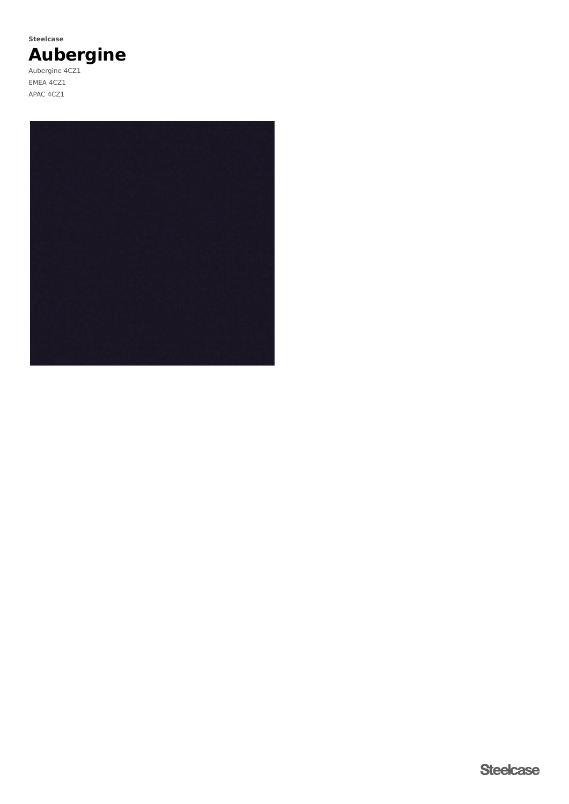# **Aubergine Steelcase**

Aubergine 4CZ1 EMEA 4CZ1 APAC 4CZ1

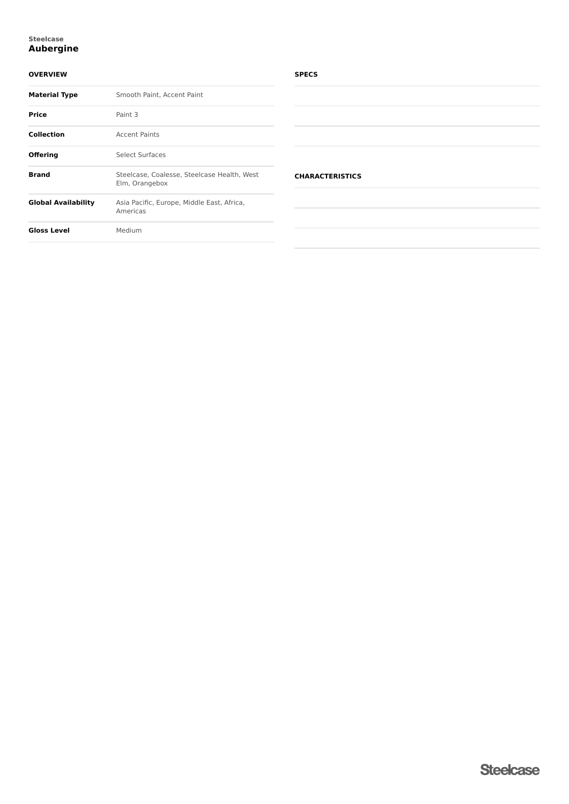### **Aubergine Steelcase**

### **OVERVIEW**

| <b>Material Type</b>       | Smooth Paint, Accent Paint                                    |  |
|----------------------------|---------------------------------------------------------------|--|
| Price                      | Paint 3                                                       |  |
| <b>Collection</b>          | <b>Accent Paints</b>                                          |  |
| <b>Offering</b>            | <b>Select Surfaces</b>                                        |  |
| <b>Brand</b>               | Steelcase, Coalesse, Steelcase Health, West<br>Elm, Orangebox |  |
| <b>Global Availability</b> | Asia Pacific, Europe, Middle East, Africa,<br>Americas        |  |
| <b>Gloss Level</b>         | Medium                                                        |  |

### **SPECS**

### **CHARACTERISTICS**